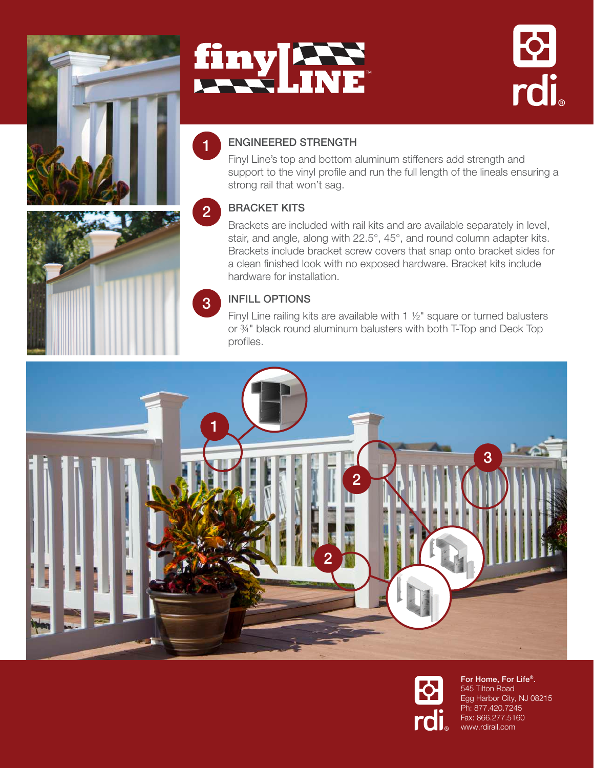





# ENGINEERED STRENGTH

Finyl Line's top and bottom aluminum stiffeners add strength and support to the vinyl profile and run the full length of the lineals ensuring a strong rail that won't sag.

#### BRACKET KITS 2

Brackets are included with rail kits and are available separately in level, stair, and angle, along with 22.5°, 45°, and round column adapter kits. Brackets include bracket screw covers that snap onto bracket sides for a clean finished look with no exposed hardware. Bracket kits include hardware for installation.

## INFILL OPTIONS

Finyl Line railing kits are available with 1 1/2" square or turned balusters or ¾" black round aluminum balusters with both T-Top and Deck Top profiles.





For Home, For Life®. 545 Tilton Road Egg Harbor City, NJ 08215 Ph: 877.420.7245 Fax: 866.277.5160 www.rdirail.com





1